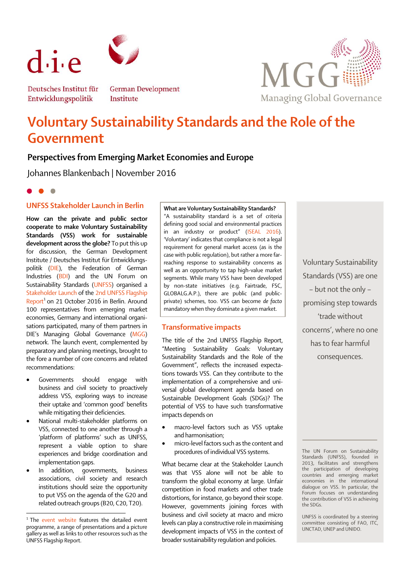

Deutsches Institut für Entwicklungspolitik

**German Development** Institute



**Voluntary Sustainability Standards and the Role of the Government**

# **Perspectives from Emerging Market Economies and Europe**

Johannes Blankenbach | November 2016

## **UNFSS Stakeholder Launch in Berlin**

**How can the private and public sector cooperate to make Voluntary Sustainability Standards (VSS) work for sustainable development across the globe?** To put this up for discussion, the German Development Institute / Deutsches Institut für Entwicklungspolitik [\(DIE\)](http://www.die-gdi.de/en/), the Federation of German Industries [\(BDI\)](http://english.bdi.eu/) and the UN Forum on Sustainability Standards [\(UNFSS\)](http://unfss.org/) organised a [Stakeholder Launch](http://www.die-gdi.de/en/events/voluntary-sustainability-standards-and-the-role-of-the-government/) of th[e 2nd UNFSS Flagship](https://unfss.files.wordpress.com/2016/09/final_unfss-report_28092016.pdf)  [Report](https://unfss.files.wordpress.com/2016/09/final_unfss-report_28092016.pdf)<sup>1</sup> on 21 October 2016 in Berlin. Around 100 representatives from emerging market economies, Germany and international organisations participated, many of them partners in DIE's Managing Global Governance ([MGG\)](http://www.die-gdi.de/en/training/managing-global-governance/) network. The launch event, complemented by preparatory and planning meetings, brought to the fore a number of core concerns and related recommendations:

- Governments should engage with business and civil society to proactively address VSS, exploring ways to increase their uptake and 'common good' benefits while mitigating their deficiencies.
- National multi-stakeholder platforms on VSS, connected to one another through a 'platform of platforms' such as UNFSS, represent a viable option to share experiences and bridge coordination and implementation gaps.
- In addition, governments, business associations, civil society and research institutions should seize the opportunity to put VSS on the agenda of the G20 and related outreach groups(B20, C20, T20).

**.** 

**What are Voluntary Sustainability Standards?** "A sustainability standard is a set of criteria defining good social and environmental practices in an industry or product" ([ISEAL 2016\)](http://www.isealalliance.org/waypoint/what-is-a-sustainability-standard). 'Voluntary' indicates that compliance is not a legal requirement for general market access (as is the case with public regulation), but rather a more farreaching response to sustainability concerns as well as an opportunity to tap high-value market segments. While many VSS have been developed by non-state initiatives (e.g. Fairtrade, FSC, GLOBALG.A.P.), there are public (and publicprivate) schemes, too. VSS can become *de facto* mandatory when they dominate a given market.

### **Transformative impacts**

The title of the 2nd UNFSS Flagship Report, "Meeting Sustainability Goals: Voluntary Sustainability Standards and the Role of the Government", reflects the increased expectations towards VSS. Can they contribute to the implementation of a comprehensive and universal global development agenda based on Sustainable Development Goals (SDGs)? The potential of VSS to have such transformative impacts depends on

- macro-level factors such as VSS uptake and harmonisation;
- micro-level factors such as the content and procedures of individual VSS systems.

What became clear at the Stakeholder Launch was that VSS alone will not be able to transform the global economy at large. Unfair competition in food markets and other trade distortions, for instance, go beyond their scope. However, governments joining forces with business and civil society at macro and micro levels can play a constructive role in maximising development impacts of VSS in the context of broader sustainability regulation and policies.

Voluntary Sustainability Standards (VSS) are one – but not the only – promising step towards 'trade without concerns', where no one has to fear harmful consequences.

The UN Forum on Sustainability Standards [\(UNFSS\),](http://unfss.org/) founded in 2013, facilitates and strengthens the participation of developing countries and emerging market economies in the international dialogue on VSS. In particular, the Forum focuses on understanding the contribution of VSS in achieving the SDGs.

UNFSS is coordinated by a steering committee consisting of FAO, ITC, UNCTAD, UNEP and UNIDO.

<sup>&</sup>lt;sup>1</sup> The [event website](http://www.die-gdi.de/en/events/voluntary-sustainability-standards-and-the-role-of-the-government/) features the detailed event programme, a range of presentations and a picture gallery as well as links to other resources such as the UNFSS Flagship Report.